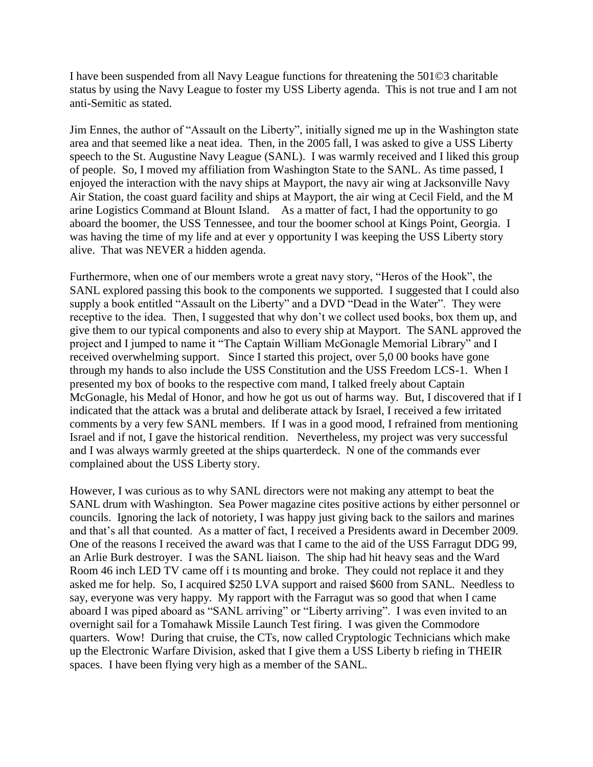I have been suspended from all Navy League functions for threatening the 501©3 charitable status by using the Navy League to foster my USS Liberty agenda. This is not true and I am not anti-Semitic as stated.

Jim Ennes, the author of "Assault on the Liberty", initially signed me up in the Washington state area and that seemed like a neat idea. Then, in the 2005 fall, I was asked to give a USS Liberty speech to the St. Augustine Navy League (SANL). I was warmly received and I liked this group of people. So, I moved my affiliation from Washington State to the SANL. As time passed, I enjoyed the interaction with the navy ships at Mayport, the navy air wing at Jacksonville Navy Air Station, the coast guard facility and ships at Mayport, the air wing at Cecil Field, and the M arine Logistics Command at Blount Island. As a matter of fact, I had the opportunity to go aboard the boomer, the USS Tennessee, and tour the boomer school at Kings Point, Georgia. I was having the time of my life and at ever y opportunity I was keeping the USS Liberty story alive. That was NEVER a hidden agenda.

Furthermore, when one of our members wrote a great navy story, "Heros of the Hook", the SANL explored passing this book to the components we supported. I suggested that I could also supply a book entitled "Assault on the Liberty" and a DVD "Dead in the Water". They were receptive to the idea. Then, I suggested that why don't we collect used books, box them up, and give them to our typical components and also to every ship at Mayport. The SANL approved the project and I jumped to name it "The Captain William McGonagle Memorial Library" and I received overwhelming support. Since I started this project, over 5,0 00 books have gone through my hands to also include the USS Constitution and the USS Freedom LCS-1. When I presented my box of books to the respective com mand, I talked freely about Captain McGonagle, his Medal of Honor, and how he got us out of harms way. But, I discovered that if I indicated that the attack was a brutal and deliberate attack by Israel, I received a few irritated comments by a very few SANL members. If I was in a good mood, I refrained from mentioning Israel and if not, I gave the historical rendition. Nevertheless, my project was very successful and I was always warmly greeted at the ships quarterdeck. N one of the commands ever complained about the USS Liberty story.

However, I was curious as to why SANL directors were not making any attempt to beat the SANL drum with Washington. Sea Power magazine cites positive actions by either personnel or councils. Ignoring the lack of notoriety, I was happy just giving back to the sailors and marines and that's all that counted. As a matter of fact, I received a Presidents award in December 2009. One of the reasons I received the award was that I came to the aid of the USS Farragut DDG 99, an Arlie Burk destroyer. I was the SANL liaison. The ship had hit heavy seas and the Ward Room 46 inch LED TV came off i ts mounting and broke. They could not replace it and they asked me for help. So, I acquired \$250 LVA support and raised \$600 from SANL. Needless to say, everyone was very happy. My rapport with the Farragut was so good that when I came aboard I was piped aboard as "SANL arriving" or "Liberty arriving". I was even invited to an overnight sail for a Tomahawk Missile Launch Test firing. I was given the Commodore quarters. Wow! During that cruise, the CTs, now called Cryptologic Technicians which make up the Electronic Warfare Division, asked that I give them a USS Liberty b riefing in THEIR spaces. I have been flying very high as a member of the SANL.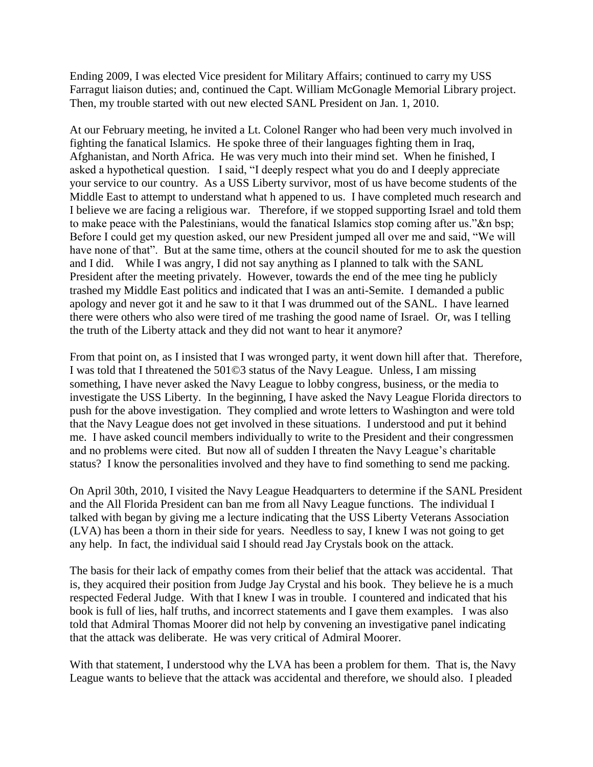Ending 2009, I was elected Vice president for Military Affairs; continued to carry my USS Farragut liaison duties; and, continued the Capt. William McGonagle Memorial Library project. Then, my trouble started with out new elected SANL President on Jan. 1, 2010.

At our February meeting, he invited a Lt. Colonel Ranger who had been very much involved in fighting the fanatical Islamics. He spoke three of their languages fighting them in Iraq, Afghanistan, and North Africa. He was very much into their mind set. When he finished, I asked a hypothetical question. I said, "I deeply respect what you do and I deeply appreciate your service to our country. As a USS Liberty survivor, most of us have become students of the Middle East to attempt to understand what h appened to us. I have completed much research and I believe we are facing a religious war. Therefore, if we stopped supporting Israel and told them to make peace with the Palestinians, would the fanatical Islamics stop coming after us."&n bsp; Before I could get my question asked, our new President jumped all over me and said, "We will have none of that". But at the same time, others at the council shouted for me to ask the question and I did. While I was angry, I did not say anything as I planned to talk with the SANL President after the meeting privately. However, towards the end of the mee ting he publicly trashed my Middle East politics and indicated that I was an anti-Semite. I demanded a public apology and never got it and he saw to it that I was drummed out of the SANL. I have learned there were others who also were tired of me trashing the good name of Israel. Or, was I telling the truth of the Liberty attack and they did not want to hear it anymore?

From that point on, as I insisted that I was wronged party, it went down hill after that. Therefore, I was told that I threatened the 501©3 status of the Navy League. Unless, I am missing something, I have never asked the Navy League to lobby congress, business, or the media to investigate the USS Liberty. In the beginning, I have asked the Navy League Florida directors to push for the above investigation. They complied and wrote letters to Washington and were told that the Navy League does not get involved in these situations. I understood and put it behind me. I have asked council members individually to write to the President and their congressmen and no problems were cited. But now all of sudden I threaten the Navy League's charitable status? I know the personalities involved and they have to find something to send me packing.

On April 30th, 2010, I visited the Navy League Headquarters to determine if the SANL President and the All Florida President can ban me from all Navy League functions. The individual I talked with began by giving me a lecture indicating that the USS Liberty Veterans Association (LVA) has been a thorn in their side for years. Needless to say, I knew I was not going to get any help. In fact, the individual said I should read Jay Crystals book on the attack.

The basis for their lack of empathy comes from their belief that the attack was accidental. That is, they acquired their position from Judge Jay Crystal and his book. They believe he is a much respected Federal Judge. With that I knew I was in trouble. I countered and indicated that his book is full of lies, half truths, and incorrect statements and I gave them examples. I was also told that Admiral Thomas Moorer did not help by convening an investigative panel indicating that the attack was deliberate. He was very critical of Admiral Moorer.

With that statement, I understood why the LVA has been a problem for them. That is, the Navy League wants to believe that the attack was accidental and therefore, we should also. I pleaded